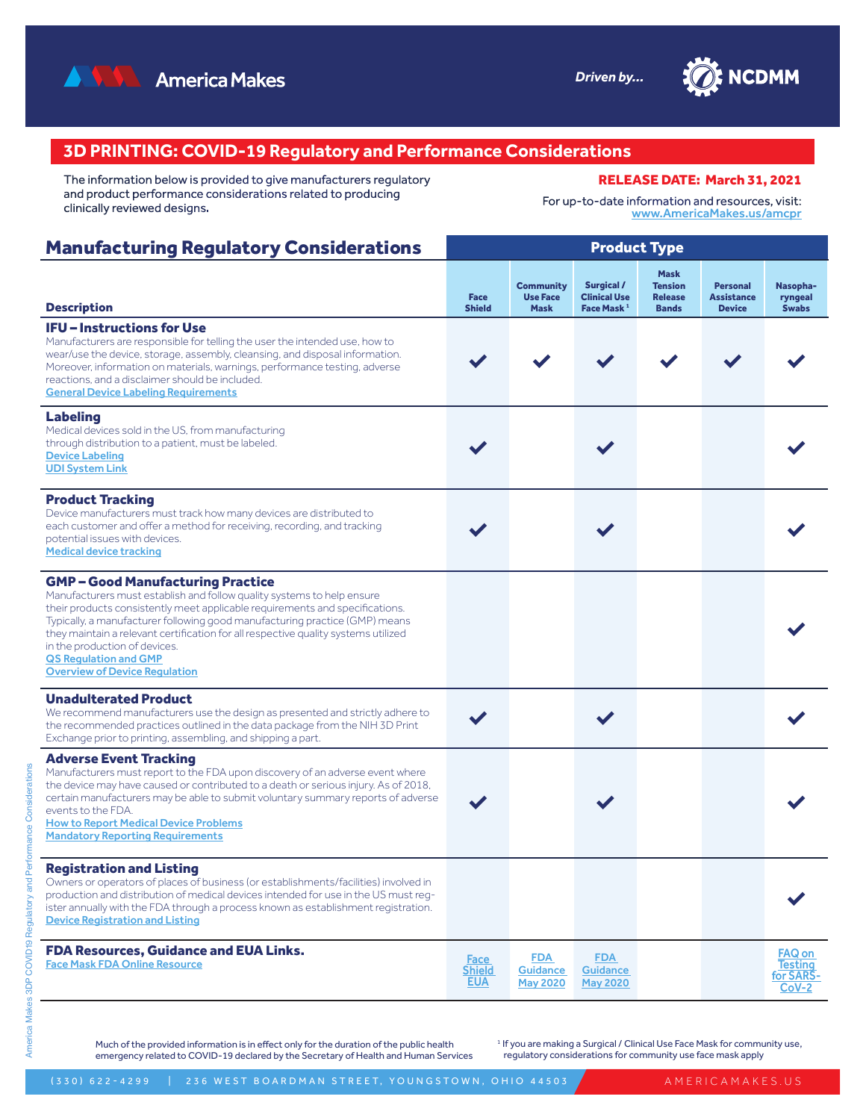



## **3D PRINTING: COVID-19 Regulatory and Performance Considerations**

The information below is provided to give manufacturers regulatory and product performance considerations related to producing clinically reviewed designs.

For up-to-date information and resources, visit: [www.AmericaMakes.us/amcpr](http://www.AmericaMakes.us/amcpr)

RELEASE DATE: March 31, 2021

#### Manufacturing Regulatory Considerations Product Type Description Face Shield **Community** Use Face Mask Surgical / Clinical Use Face Mask<sup>1</sup> Mask Tension Release Bands Personal **Assistance** Device Nasopharyngeal Swabs IFU – Instructions for Use Manufacturers are responsible for telling the user the intended use, how to wear/use the device, storage, assembly, cleansing, and disposal information. Moreover, information on materials, warnings, performance testing, adverse reactions, and a disclaimer should be included. [General Device Labeling Requirements](https://www.fda.gov/medical-devices/device-labeling/general-device-labeling-requirements) ✔ ✔ ✔ ✔ ✔ ✔ Labeling Medical devices sold in the US, from manufacturing through distribution to a patient, must be labeled. [Device Labeling](https://www.fda.gov/medical-devices/overview-device-regulation/device-labeling) [UDI System Link](https://www.fda.gov/medical-devices/unique-device-identification-system-udi-system/udi-basics)  $\checkmark$   $\checkmark$   $\checkmark$   $\checkmark$   $\checkmark$ Product Tracking Device manufacturers must track how many devices are distributed to each customer and offer a method for receiving, recording, and tracking potential issues with devices. [Medical device tracking](https://www.fda.gov/medical-devices/postmarket-requirements-devices/medical-device-tracking)  $\checkmark$   $\checkmark$   $\checkmark$   $\checkmark$   $\checkmark$ GMP – Good Manufacturing Practice Manufacturers must establish and follow quality systems to help ensure their products consistently meet applicable requirements and specifications. Typically, a manufacturer following good manufacturing practice (GMP) means they maintain a relevant certification for all respective quality systems utilized in the production of devices. [QS Regulation and GMP](https://www.fda.gov/medical-devices/postmarket-requirements-devices/quality-system-qs-regulationmedical-device-good-manufacturing-practices) [Overview of Device Regulation](https://www.fda.gov/medical-devices/device-advice-comprehensive-regulatory-assistance/overview-device-regulation#qs) ✔ Unadulterated Product We recommend manufacturers use the design as presented and strictly adhere to the recommended practices outlined in the data package from the NIH 3D Print Exchange prior to printing, assembling, and shipping a part.  $\checkmark$   $\checkmark$   $\checkmark$   $\checkmark$   $\checkmark$ Adverse Event Tracking Manufacturers must report to the FDA upon discovery of an adverse event where the device may have caused or contributed to a death or serious injury. As of 2018, certain manufacturers may be able to submit voluntary summary reports of adverse events to the FDA. **How to Report Medical Device Problems** [Mandatory Reporting Requirements](https://www.fda.gov/medical-devices/postmarket-requirements-devices/mandatory-reporting-requirements-manufacturers-importers-and-device-user-facilities)  $\checkmark$   $\checkmark$   $\checkmark$   $\checkmark$   $\checkmark$ Registration and Listing Owners or operators of places of business (or establishments/facilities) involved in production and distribution of medical devices intended for use in the US must register annually with the FDA through a process known as establishment registration. [Device Registration and Listing](https://www.fda.gov/medical-devices/how-study-and-market-your-device/device-registration-and-listing) ✔ FDA Resources, Guidance and EUA Links. [Face Mask FDA Online Resource](https://www.fda.gov/medical-devices/personal-protective-equipment-infection-control/face-masks-and-surgical-masks-covid-19-manufacturing-purchasing-importing-and-donating-masks-during) **Shield [EUA](https://www.fda.gov/media/136842/download)** [FDA](https://www.fda.gov/regulatory-information/search-fda-guidance-documents/enforcement-policy-face-masks-and-respirators-during-coronavirus-disease-covid-19-public-health)  **Guidance** [May 2020](https://www.fda.gov/regulatory-information/search-fda-guidance-documents/enforcement-policy-face-masks-and-respirators-during-coronavirus-disease-covid-19-public-health) [FDA](https://www.fda.gov/regulatory-information/search-fda-guidance-documents/enforcement-policy-face-masks-and-respirators-during-coronavirus-disease-covid-19-public-health)  **Guidance** [May 2020](https://www.fda.gov/regulatory-information/search-fda-guidance-documents/enforcement-policy-face-masks-and-respirators-during-coronavirus-disease-covid-19-public-health) [FAQ on](https://www.fda.gov/medical-devices/emergency-situations-medical-devices/faqs-testing-sars-cov-2)  [Testing](https://www.fda.gov/medical-devices/emergency-situations-medical-devices/faqs-testing-sars-cov-2)  <u>for SARS-</u> [CoV-2](https://www.fda.gov/medical-devices/emergency-situations-medical-devices/faqs-testing-sars-cov-2)

Much of the provided information is in effect only for the duration of the public health emergency related to COVID-19 declared by the Secretary of Health and Human Services <sup>1</sup> If you are making a Surgical / Clinical Use Face Mask for community use, regulatory considerations for community use face mask apply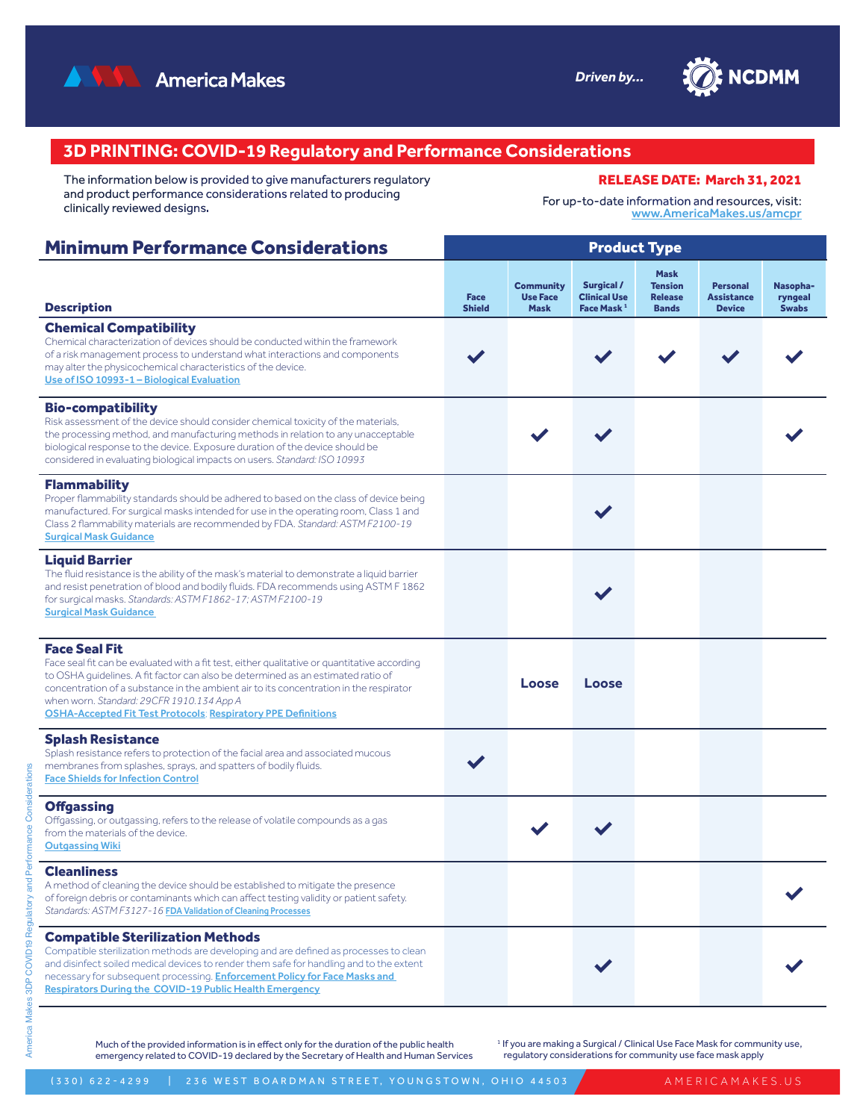



# **3D PRINTING: COVID-19 Regulatory and Performance Considerations**

The information below is provided to give manufacturers regulatory and product performance considerations related to producing clinically reviewed designs.

RELEASE DATE: March 31, 2021

For up-to-date information and resources, visit: [www.AmericaMakes.us/amcpr](http://www.AmericaMakes.us/amcpr)

| <b>Minimum Performance Considerations</b>                                                                                                                                                                                                                                                                                                                                                                               | <b>Product Type</b>          |                                                    |                                                                    |                                                                 |                                                       |                                     |  |  |
|-------------------------------------------------------------------------------------------------------------------------------------------------------------------------------------------------------------------------------------------------------------------------------------------------------------------------------------------------------------------------------------------------------------------------|------------------------------|----------------------------------------------------|--------------------------------------------------------------------|-----------------------------------------------------------------|-------------------------------------------------------|-------------------------------------|--|--|
| <b>Description</b>                                                                                                                                                                                                                                                                                                                                                                                                      | <b>Face</b><br><b>Shield</b> | <b>Community</b><br><b>Use Face</b><br><b>Mask</b> | <b>Surgical /</b><br><b>Clinical Use</b><br>Face Mask <sup>1</sup> | <b>Mask</b><br><b>Tension</b><br><b>Release</b><br><b>Bands</b> | <b>Personal</b><br><b>Assistance</b><br><b>Device</b> | Nasopha-<br>ryngeal<br><b>Swabs</b> |  |  |
| <b>Chemical Compatibility</b><br>Chemical characterization of devices should be conducted within the framework<br>of a risk management process to understand what interactions and components<br>may alter the physicochemical characteristics of the device.<br>Use of ISO 10993-1 - Biological Evaluation                                                                                                             |                              |                                                    |                                                                    |                                                                 |                                                       |                                     |  |  |
| <b>Bio-compatibility</b><br>Risk assessment of the device should consider chemical toxicity of the materials,<br>the processing method, and manufacturing methods in relation to any unacceptable<br>biological response to the device. Exposure duration of the device should be<br>considered in evaluating biological impacts on users. Standard: ISO 10993                                                          |                              |                                                    |                                                                    |                                                                 |                                                       |                                     |  |  |
| <b>Flammability</b><br>Proper flammability standards should be adhered to based on the class of device being<br>manufactured. For surgical masks intended for use in the operating room, Class 1 and<br>Class 2 flammability materials are recommended by FDA. Standard: ASTM F2100-19<br><b>Surgical Mask Guidance</b>                                                                                                 |                              |                                                    |                                                                    |                                                                 |                                                       |                                     |  |  |
| <b>Liquid Barrier</b><br>The fluid resistance is the ability of the mask's material to demonstrate a liquid barrier<br>and resist penetration of blood and bodily fluids. FDA recommends using ASTM F 1862<br>for surgical masks. Standards: ASTM F1862-17; ASTM F2100-19<br><b>Surgical Mask Guidance</b>                                                                                                              |                              |                                                    |                                                                    |                                                                 |                                                       |                                     |  |  |
| <b>Face Seal Fit</b><br>Face seal fit can be evaluated with a fit test, either qualitative or quantitative according<br>to OSHA guidelines. A fit factor can also be determined as an estimated ratio of<br>concentration of a substance in the ambient air to its concentration in the respirator<br>when worn. Standard: 29CFR 1910.134 App A<br><b>OSHA-Accepted Fit Test Protocols; Respiratory PPE Definitions</b> |                              | Loose                                              | Loose                                                              |                                                                 |                                                       |                                     |  |  |
| <b>Splash Resistance</b><br>Splash resistance refers to protection of the facial area and associated mucous<br>membranes from splashes, sprays, and spatters of bodily fluids.<br><b>Face Shields for Infection Control</b>                                                                                                                                                                                             |                              |                                                    |                                                                    |                                                                 |                                                       |                                     |  |  |
| <b>Offgassing</b><br>Offgassing, or outgassing, refers to the release of volatile compounds as a gas<br>from the materials of the device.<br><b>Outgassing Wiki</b>                                                                                                                                                                                                                                                     |                              |                                                    |                                                                    |                                                                 |                                                       |                                     |  |  |
| <b>Cleanliness</b><br>A method of cleaning the device should be established to mitigate the presence<br>of foreign debris or contaminants which can affect testing validity or patient safety.<br>Standards: ASTM F3127-16 FDA Validation of Cleaning Processes                                                                                                                                                         |                              |                                                    |                                                                    |                                                                 |                                                       |                                     |  |  |
| <b>Compatible Sterilization Methods</b><br>Compatible sterilization methods are developing and are defined as processes to clean<br>and disinfect soiled medical devices to render them safe for handling and to the extent<br>necessary for subsequent processing. <b>Enforcement Policy for Face Masks and</b><br><b>Respirators During the COVID-19 Public Health Emergency</b>                                      |                              |                                                    |                                                                    |                                                                 |                                                       |                                     |  |  |

Much of the provided information is in effect only for the duration of the public health emergency related to COVID-19 declared by the Secretary of Health and Human Services <sup>1</sup> If you are making a Surgical / Clinical Use Face Mask for community use, regulatory considerations for community use face mask apply